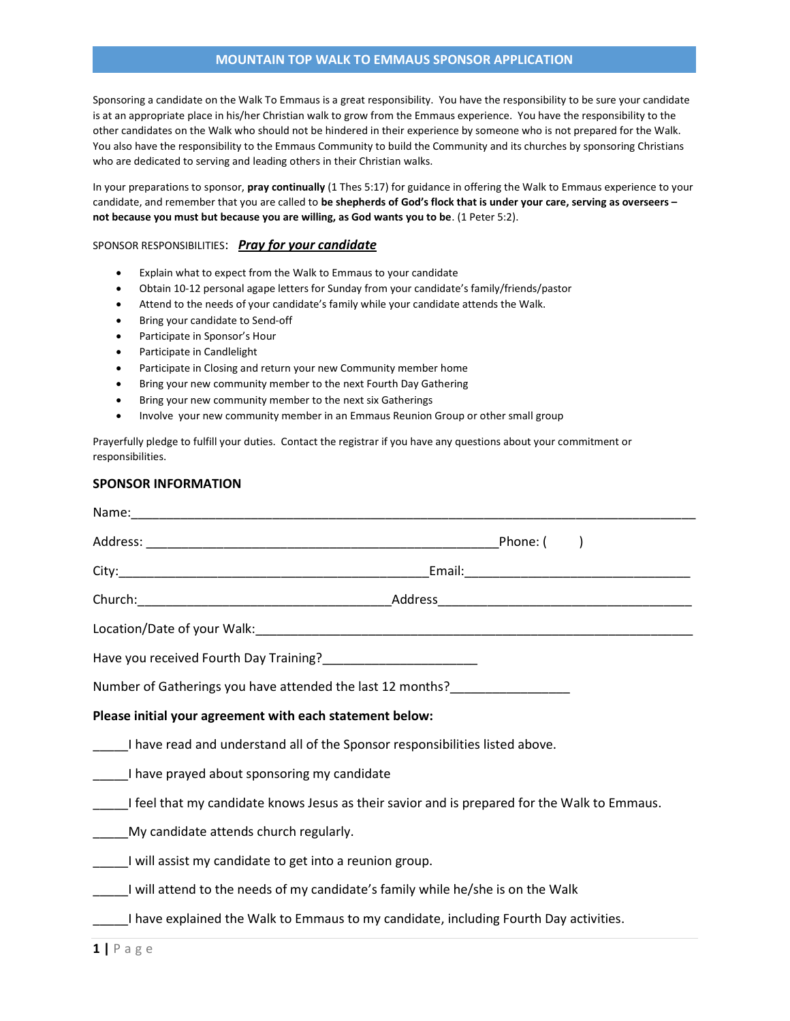# MOUNTAIN TOP WALK TO EMMAUS SPONSOR APPLICATION

Sponsoring a candidate on the Walk To Emmaus is a great responsibility. You have the responsibility to be sure your candidate is at an appropriate place in his/her Christian walk to grow from the Emmaus experience. You have the responsibility to the other candidates on the Walk who should not be hindered in their experience by someone who is not prepared for the Walk. You also have the responsibility to the Emmaus Community to build the Community and its churches by sponsoring Christians who are dedicated to serving and leading others in their Christian walks.

In your preparations to sponsor, pray continually (1 Thes 5:17) for guidance in offering the Walk to Emmaus experience to your candidate, and remember that you are called to be shepherds of God's flock that is under your care, serving as overseers not because you must but because you are willing, as God wants you to be. (1 Peter 5:2).

#### SPONSOR RESPONSIBILITIES: Pray for your candidate

- Explain what to expect from the Walk to Emmaus to your candidate
- Obtain 10-12 personal agape letters for Sunday from your candidate's family/friends/pastor
- Attend to the needs of your candidate's family while your candidate attends the Walk.
- Bring your candidate to Send-off
- Participate in Sponsor's Hour
- Participate in Candlelight
- Participate in Closing and return your new Community member home
- Bring your new community member to the next Fourth Day Gathering
- Bring your new community member to the next six Gatherings
- Involve your new community member in an Emmaus Reunion Group or other small group

Prayerfully pledge to fulfill your duties. Contact the registrar if you have any questions about your commitment or responsibilities.

### SPONSOR INFORMATION

| Have you received Fourth Day Training?___________________________                            |  |
|----------------------------------------------------------------------------------------------|--|
| Number of Gatherings you have attended the last 12 months?                                   |  |
| Please initial your agreement with each statement below:                                     |  |
| ______I have read and understand all of the Sponsor responsibilities listed above.           |  |
| I have prayed about sponsoring my candidate                                                  |  |
| I feel that my candidate knows Jesus as their savior and is prepared for the Walk to Emmaus. |  |
| _____My candidate attends church regularly.                                                  |  |
| I will assist my candidate to get into a reunion group.                                      |  |
| will attend to the needs of my candidate's family while he/she is on the Walk                |  |
| I have explained the Walk to Emmaus to my candidate, including Fourth Day activities.        |  |
|                                                                                              |  |